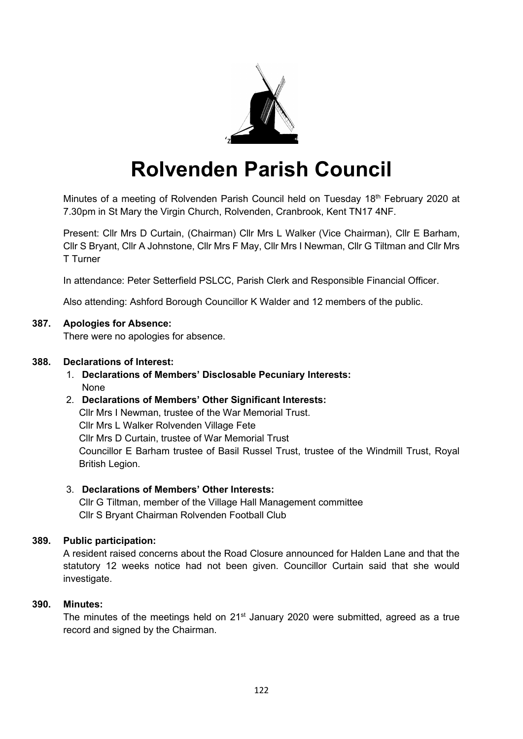

# **Rolvenden Parish Council**

Minutes of a meeting of Rolvenden Parish Council held on Tuesday 18<sup>th</sup> February 2020 at 7.30pm in St Mary the Virgin Church, Rolvenden, Cranbrook, Kent TN17 4NF.

Present: Cllr Mrs D Curtain, (Chairman) Cllr Mrs L Walker (Vice Chairman), Cllr E Barham, Cllr S Bryant, Cllr A Johnstone, Cllr Mrs F May, Cllr Mrs I Newman, Cllr G Tiltman and Cllr Mrs T Turner

In attendance: Peter Setterfield PSLCC, Parish Clerk and Responsible Financial Officer.

Also attending: Ashford Borough Councillor K Walder and 12 members of the public.

#### **387. Apologies for Absence:**

There were no apologies for absence.

#### **388. Declarations of Interest:**

1. **Declarations of Members' Disclosable Pecuniary Interests:** None

## 2. **Declarations of Members' Other Significant Interests:** Cllr Mrs I Newman, trustee of the War Memorial Trust. Cllr Mrs L Walker Rolvenden Village Fete Cllr Mrs D Curtain, trustee of War Memorial Trust

Councillor E Barham trustee of Basil Russel Trust, trustee of the Windmill Trust, Royal British Legion.

## 3. **Declarations of Members' Other Interests:**

Cllr G Tiltman, member of the Village Hall Management committee Cllr S Bryant Chairman Rolvenden Football Club

## **389. Public participation:**

A resident raised concerns about the Road Closure announced for Halden Lane and that the statutory 12 weeks notice had not been given. Councillor Curtain said that she would investigate.

## **390. Minutes:**

The minutes of the meetings held on 21<sup>st</sup> January 2020 were submitted, agreed as a true record and signed by the Chairman.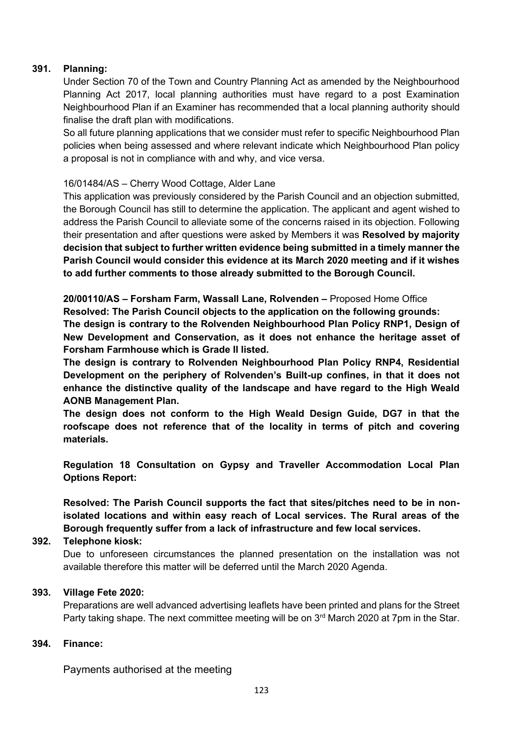#### **391. Planning:**

Under Section 70 of the Town and Country Planning Act as amended by the Neighbourhood Planning Act 2017, local planning authorities must have regard to a post Examination Neighbourhood Plan if an Examiner has recommended that a local planning authority should finalise the draft plan with modifications.

So all future planning applications that we consider must refer to specific Neighbourhood Plan policies when being assessed and where relevant indicate which Neighbourhood Plan policy a proposal is not in compliance with and why, and vice versa.

#### 16/01484/AS – Cherry Wood Cottage, Alder Lane

This application was previously considered by the Parish Council and an objection submitted, the Borough Council has still to determine the application. The applicant and agent wished to address the Parish Council to alleviate some of the concerns raised in its objection. Following their presentation and after questions were asked by Members it was **Resolved by majority decision that subject to further written evidence being submitted in a timely manner the Parish Council would consider this evidence at its March 2020 meeting and if it wishes to add further comments to those already submitted to the Borough Council.**

**20/00110/AS – Forsham Farm, Wassall Lane, Rolvenden –** Proposed Home Office **Resolved: The Parish Council objects to the application on the following grounds:**

**The design is contrary to the Rolvenden Neighbourhood Plan Policy RNP1, Design of New Development and Conservation, as it does not enhance the heritage asset of Forsham Farmhouse which is Grade II listed.**

**The design is contrary to Rolvenden Neighbourhood Plan Policy RNP4, Residential Development on the periphery of Rolvenden's Built-up confines, in that it does not enhance the distinctive quality of the landscape and have regard to the High Weald AONB Management Plan.**

**The design does not conform to the High Weald Design Guide, DG7 in that the roofscape does not reference that of the locality in terms of pitch and covering materials.**

**Regulation 18 Consultation on Gypsy and Traveller Accommodation Local Plan Options Report:**

**Resolved: The Parish Council supports the fact that sites/pitches need to be in nonisolated locations and within easy reach of Local services. The Rural areas of the Borough frequently suffer from a lack of infrastructure and few local services.**

#### **392. Telephone kiosk:**

Due to unforeseen circumstances the planned presentation on the installation was not available therefore this matter will be deferred until the March 2020 Agenda.

## **393. Village Fete 2020:**

Preparations are well advanced advertising leaflets have been printed and plans for the Street Party taking shape. The next committee meeting will be on 3<sup>rd</sup> March 2020 at 7pm in the Star.

#### **394. Finance:**

Payments authorised at the meeting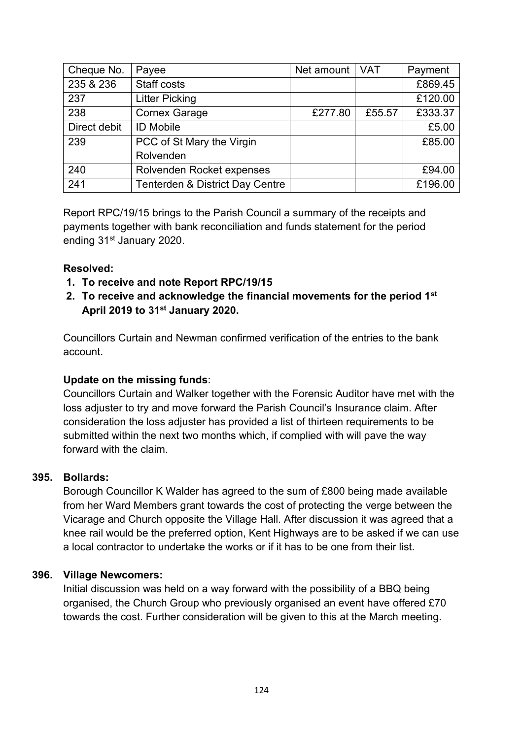| Cheque No.   | Payee                                      | Net amount   VAT |        | Payment |
|--------------|--------------------------------------------|------------------|--------|---------|
| 235 & 236    | Staff costs                                |                  |        | £869.45 |
| 237          | <b>Litter Picking</b>                      |                  |        | £120.00 |
| 238          | <b>Cornex Garage</b>                       | £277.80          | £55.57 | £333.37 |
| Direct debit | <b>ID Mobile</b>                           |                  |        | £5.00   |
| 239          | PCC of St Mary the Virgin                  |                  |        | £85.00  |
|              | Rolvenden                                  |                  |        |         |
| 240          | Rolvenden Rocket expenses                  |                  |        | £94.00  |
| 241          | <b>Tenterden &amp; District Day Centre</b> |                  |        | £196.00 |

Report RPC/19/15 brings to the Parish Council a summary of the receipts and payments together with bank reconciliation and funds statement for the period ending 31<sup>st</sup> January 2020.

## **Resolved:**

- **1. To receive and note Report RPC/19/15**
- **2. To receive and acknowledge the financial movements for the period 1st April 2019 to 31st January 2020.**

Councillors Curtain and Newman confirmed verification of the entries to the bank account.

## **Update on the missing funds**:

Councillors Curtain and Walker together with the Forensic Auditor have met with the loss adjuster to try and move forward the Parish Council's Insurance claim. After consideration the loss adjuster has provided a list of thirteen requirements to be submitted within the next two months which, if complied with will pave the way forward with the claim.

## **395. Bollards:**

Borough Councillor K Walder has agreed to the sum of £800 being made available from her Ward Members grant towards the cost of protecting the verge between the Vicarage and Church opposite the Village Hall. After discussion it was agreed that a knee rail would be the preferred option, Kent Highways are to be asked if we can use a local contractor to undertake the works or if it has to be one from their list.

## **396. Village Newcomers:**

Initial discussion was held on a way forward with the possibility of a BBQ being organised, the Church Group who previously organised an event have offered £70 towards the cost. Further consideration will be given to this at the March meeting.